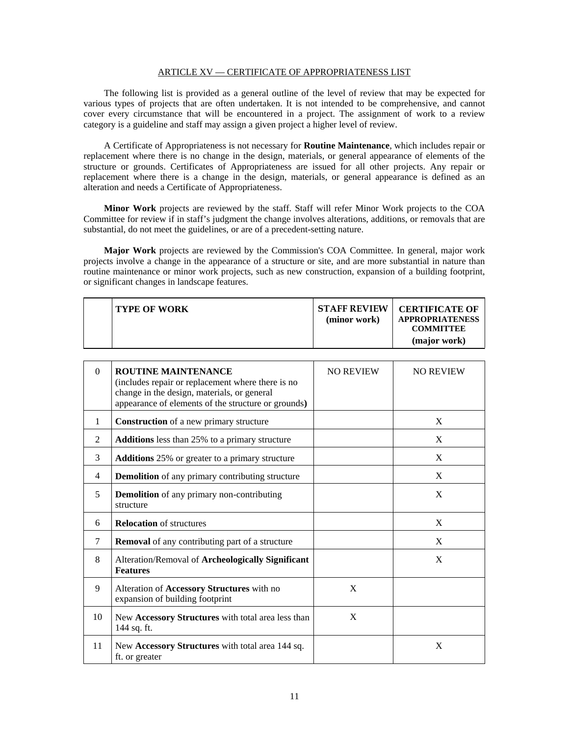## ARTICLE XV — CERTIFICATE OF APPROPRIATENESS LIST

The following list is provided as a general outline of the level of review that may be expected for various types of projects that are often undertaken. It is not intended to be comprehensive, and cannot cover every circumstance that will be encountered in a project. The assignment of work to a review category is a guideline and staff may assign a given project a higher level of review.

A Certificate of Appropriateness is not necessary for **Routine Maintenance**, which includes repair or replacement where there is no change in the design, materials, or general appearance of elements of the structure or grounds. Certificates of Appropriateness are issued for all other projects. Any repair or replacement where there is a change in the design, materials, or general appearance is defined as an alteration and needs a Certificate of Appropriateness.

**Minor Work** projects are reviewed by the staff. Staff will refer Minor Work projects to the COA Committee for review if in staff's judgment the change involves alterations, additions, or removals that are substantial, do not meet the guidelines, or are of a precedent-setting nature.

**Major Work** projects are reviewed by the Commission's COA Committee. In general, major work projects involve a change in the appearance of a structure or site, and are more substantial in nature than routine maintenance or minor work projects, such as new construction, expansion of a building footprint, or significant changes in landscape features.

| <b>TYPE OF WORK</b> | <b>STAFF REVIEW</b><br>(minor work) | <b>CERTIFICATE OF</b><br><b>APPROPRIATENESS</b><br><b>COMMITTEE</b><br>(major work) |
|---------------------|-------------------------------------|-------------------------------------------------------------------------------------|
|---------------------|-------------------------------------|-------------------------------------------------------------------------------------|

| $\Omega$       | <b>ROUTINE MAINTENANCE</b><br>(includes repair or replacement where there is no<br>change in the design, materials, or general<br>appearance of elements of the structure or grounds) | <b>NO REVIEW</b> | <b>NO REVIEW</b> |
|----------------|---------------------------------------------------------------------------------------------------------------------------------------------------------------------------------------|------------------|------------------|
| $\mathbf{1}$   | Construction of a new primary structure                                                                                                                                               |                  | X                |
| $\mathfrak{D}$ | <b>Additions</b> less than 25% to a primary structure                                                                                                                                 |                  | X                |
| 3              | <b>Additions</b> 25% or greater to a primary structure                                                                                                                                |                  | X                |
| 4              | <b>Demolition</b> of any primary contributing structure                                                                                                                               |                  | X                |
| 5              | <b>Demolition</b> of any primary non-contributing<br>structure                                                                                                                        |                  | X                |
| 6              | <b>Relocation</b> of structures                                                                                                                                                       |                  | X                |
| 7              | <b>Removal</b> of any contributing part of a structure                                                                                                                                |                  | X                |
| 8              | Alteration/Removal of Archeologically Significant<br><b>Features</b>                                                                                                                  |                  | X                |
| 9              | Alteration of Accessory Structures with no<br>expansion of building footprint                                                                                                         | X                |                  |
| 10             | New Accessory Structures with total area less than<br>144 sq. ft.                                                                                                                     | X                |                  |
| 11             | New Accessory Structures with total area 144 sq.<br>ft. or greater                                                                                                                    |                  | X                |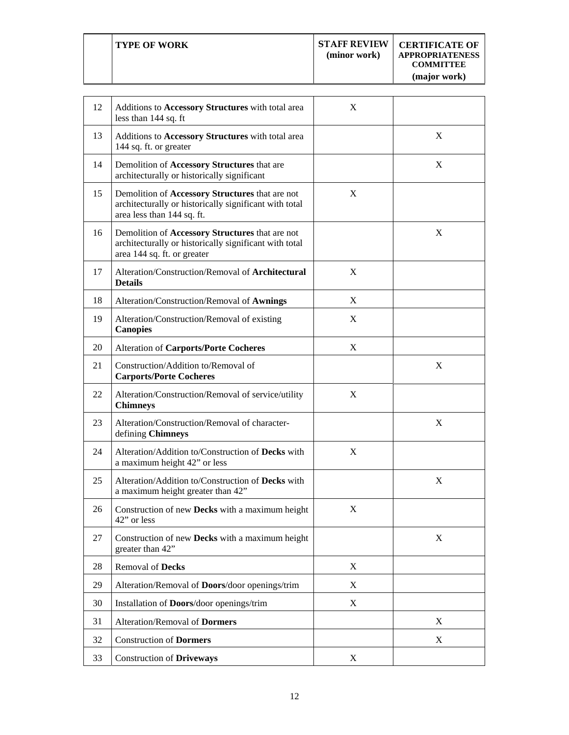| 12 | Additions to Accessory Structures with total area<br>less than 144 sq. ft                                                                | X                         |             |
|----|------------------------------------------------------------------------------------------------------------------------------------------|---------------------------|-------------|
| 13 | Additions to Accessory Structures with total area<br>144 sq. ft. or greater                                                              |                           | X           |
| 14 | Demolition of Accessory Structures that are<br>architecturally or historically significant                                               |                           | X           |
| 15 | Demolition of Accessory Structures that are not<br>architecturally or historically significant with total<br>area less than 144 sq. ft.  | X                         |             |
| 16 | Demolition of Accessory Structures that are not<br>architecturally or historically significant with total<br>area 144 sq. ft. or greater |                           | X           |
| 17 | Alteration/Construction/Removal of <b>Architectural</b><br><b>Details</b>                                                                | X                         |             |
| 18 | Alteration/Construction/Removal of Awnings                                                                                               | X                         |             |
| 19 | Alteration/Construction/Removal of existing<br><b>Canopies</b>                                                                           | X                         |             |
| 20 | <b>Alteration of Carports/Porte Cocheres</b>                                                                                             | X                         |             |
| 21 | Construction/Addition to/Removal of<br><b>Carports/Porte Cocheres</b>                                                                    |                           | X           |
| 22 | Alteration/Construction/Removal of service/utility<br><b>Chimneys</b>                                                                    | X                         |             |
| 23 | Alteration/Construction/Removal of character-<br>defining Chimneys                                                                       |                           | X           |
| 24 | Alteration/Addition to/Construction of Decks with<br>a maximum height 42" or less                                                        | X                         |             |
| 25 | Alteration/Addition to/Construction of Decks with<br>a maximum height greater than 42"                                                   |                           | X           |
| 26 | Construction of new Decks with a maximum height<br>42" or less                                                                           | X                         |             |
| 27 | Construction of new Decks with a maximum height<br>greater than 42"                                                                      |                           | X           |
| 28 | <b>Removal of Decks</b>                                                                                                                  | $\boldsymbol{\mathrm{X}}$ |             |
| 29 | Alteration/Removal of Doors/door openings/trim                                                                                           | X                         |             |
| 30 | Installation of Doors/door openings/trim                                                                                                 | X                         |             |
| 31 | Alteration/Removal of Dormers                                                                                                            |                           | X           |
| 32 | <b>Construction of Dormers</b>                                                                                                           |                           | $\mathbf X$ |
| 33 | <b>Construction of Driveways</b>                                                                                                         | X                         |             |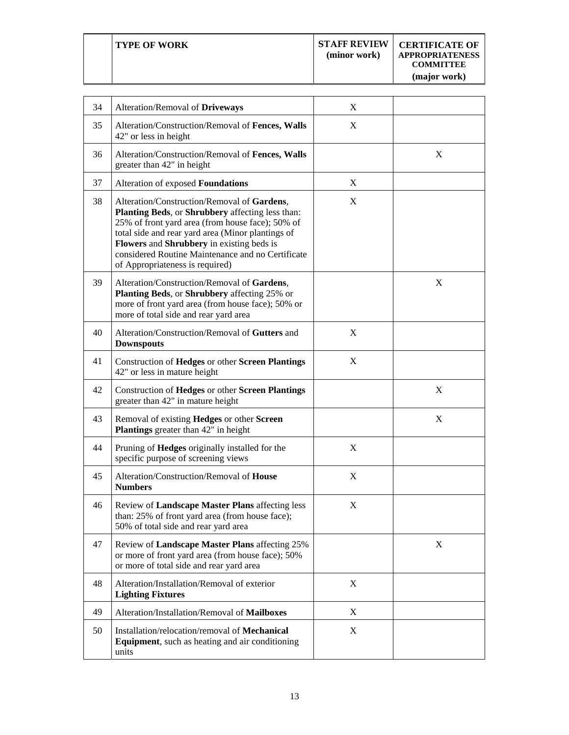| <b>TYPE OF WORK</b> | <b>STAFF REVIEW</b><br>(minor work) | <b>CERTIFICATE OF</b><br><b>APPROPRIATENESS</b><br><b>COMMITTEE</b><br>(major work) |
|---------------------|-------------------------------------|-------------------------------------------------------------------------------------|
|                     |                                     |                                                                                     |

Τ

Τ

 $\sqrt{ }$ 

| 34 | Alteration/Removal of Driveways                                                                                                                                                                                                                                                                                                               | X |   |
|----|-----------------------------------------------------------------------------------------------------------------------------------------------------------------------------------------------------------------------------------------------------------------------------------------------------------------------------------------------|---|---|
| 35 | Alteration/Construction/Removal of Fences, Walls<br>42" or less in height                                                                                                                                                                                                                                                                     | X |   |
| 36 | Alteration/Construction/Removal of Fences, Walls<br>greater than 42" in height                                                                                                                                                                                                                                                                |   | X |
| 37 | Alteration of exposed Foundations                                                                                                                                                                                                                                                                                                             | X |   |
| 38 | Alteration/Construction/Removal of Gardens,<br>Planting Beds, or Shrubbery affecting less than:<br>25% of front yard area (from house face); 50% of<br>total side and rear yard area (Minor plantings of<br>Flowers and Shrubbery in existing beds is<br>considered Routine Maintenance and no Certificate<br>of Appropriateness is required) | X |   |
| 39 | Alteration/Construction/Removal of Gardens,<br>Planting Beds, or Shrubbery affecting 25% or<br>more of front yard area (from house face); 50% or<br>more of total side and rear yard area                                                                                                                                                     |   | X |
| 40 | Alteration/Construction/Removal of Gutters and<br><b>Downspouts</b>                                                                                                                                                                                                                                                                           | X |   |
| 41 | Construction of Hedges or other Screen Plantings<br>42" or less in mature height                                                                                                                                                                                                                                                              | X |   |
| 42 | Construction of Hedges or other Screen Plantings<br>greater than 42" in mature height                                                                                                                                                                                                                                                         |   | X |
| 43 | Removal of existing Hedges or other Screen<br><b>Plantings</b> greater than 42" in height                                                                                                                                                                                                                                                     |   | X |
| 44 | Pruning of Hedges originally installed for the<br>specific purpose of screening views                                                                                                                                                                                                                                                         | X |   |
| 45 | Alteration/Construction/Removal of House<br><b>Numbers</b>                                                                                                                                                                                                                                                                                    | X |   |
| 46 | Review of Landscape Master Plans affecting less<br>than: 25% of front yard area (from house face);<br>50% of total side and rear yard area                                                                                                                                                                                                    | X |   |
| 47 | Review of Landscape Master Plans affecting 25%<br>or more of front yard area (from house face); 50%<br>or more of total side and rear yard area                                                                                                                                                                                               |   | X |
| 48 | Alteration/Installation/Removal of exterior<br><b>Lighting Fixtures</b>                                                                                                                                                                                                                                                                       | X |   |
| 49 | Alteration/Installation/Removal of Mailboxes                                                                                                                                                                                                                                                                                                  | X |   |
| 50 | Installation/relocation/removal of <b>Mechanical</b><br><b>Equipment</b> , such as heating and air conditioning<br>units                                                                                                                                                                                                                      | X |   |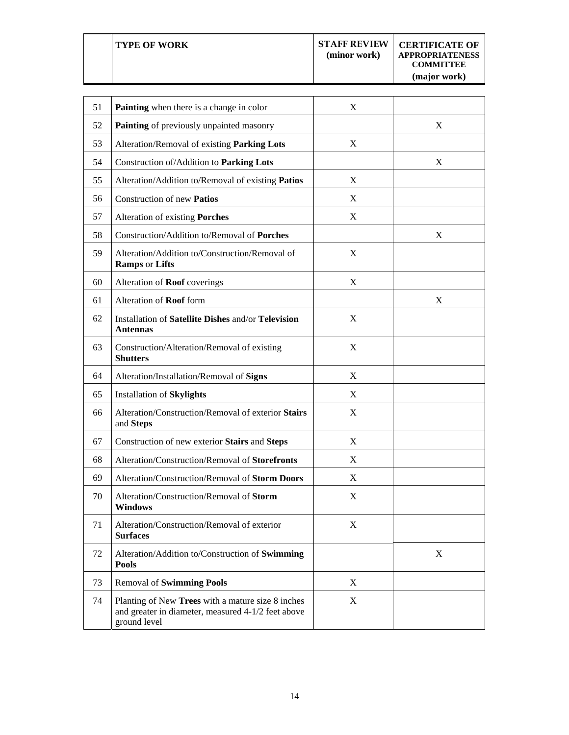**TYPE OF WORK STAFF REVIEW (minor work) CERTIFICATE OF APPROPRIATENESS COMMITTEE (major work)**

| 51 | Painting when there is a change in color                                                                                | X |   |
|----|-------------------------------------------------------------------------------------------------------------------------|---|---|
| 52 | Painting of previously unpainted masonry                                                                                |   | X |
| 53 | Alteration/Removal of existing <b>Parking Lots</b>                                                                      | X |   |
| 54 | Construction of/Addition to Parking Lots                                                                                |   | X |
| 55 | Alteration/Addition to/Removal of existing Patios                                                                       | X |   |
| 56 | Construction of new Patios                                                                                              | X |   |
| 57 | Alteration of existing Porches                                                                                          | X |   |
| 58 | Construction/Addition to/Removal of Porches                                                                             |   | X |
| 59 | Alteration/Addition to/Construction/Removal of<br><b>Ramps or Lifts</b>                                                 | X |   |
| 60 | Alteration of Roof coverings                                                                                            | X |   |
| 61 | Alteration of <b>Roof</b> form                                                                                          |   | X |
| 62 | Installation of Satellite Dishes and/or Television<br><b>Antennas</b>                                                   | X |   |
| 63 | Construction/Alteration/Removal of existing<br><b>Shutters</b>                                                          | X |   |
| 64 | Alteration/Installation/Removal of Signs                                                                                | X |   |
| 65 | <b>Installation of Skylights</b>                                                                                        | X |   |
| 66 | Alteration/Construction/Removal of exterior Stairs<br>and Steps                                                         | X |   |
| 67 | Construction of new exterior Stairs and Steps                                                                           | X |   |
| 68 | Alteration/Construction/Removal of Storefronts                                                                          | X |   |
| 69 | Alteration/Construction/Removal of Storm Doors                                                                          | X |   |
| 70 | Alteration/Construction/Removal of Storm<br><b>Windows</b>                                                              | X |   |
| 71 | Alteration/Construction/Removal of exterior<br><b>Surfaces</b>                                                          | X |   |
| 72 | Alteration/Addition to/Construction of Swimming<br><b>Pools</b>                                                         |   | X |
| 73 | <b>Removal of Swimming Pools</b>                                                                                        | X |   |
| 74 | Planting of New Trees with a mature size 8 inches<br>and greater in diameter, measured 4-1/2 feet above<br>ground level | X |   |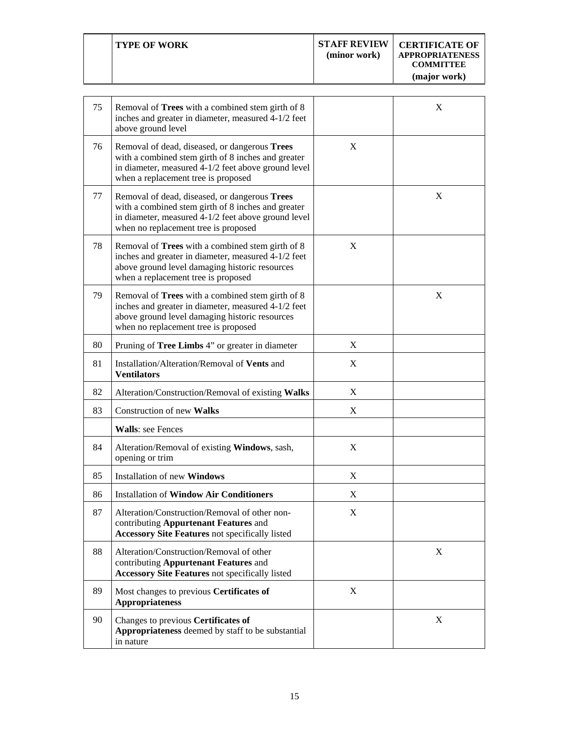|--|

| 75 | Removal of Trees with a combined stem girth of 8<br>inches and greater in diameter, measured 4-1/2 feet<br>above ground level                                                                      |   | X |
|----|----------------------------------------------------------------------------------------------------------------------------------------------------------------------------------------------------|---|---|
| 76 | Removal of dead, diseased, or dangerous Trees<br>with a combined stem girth of 8 inches and greater<br>in diameter, measured 4-1/2 feet above ground level<br>when a replacement tree is proposed  | X |   |
| 77 | Removal of dead, diseased, or dangerous Trees<br>with a combined stem girth of 8 inches and greater<br>in diameter, measured 4-1/2 feet above ground level<br>when no replacement tree is proposed |   | X |
| 78 | Removal of Trees with a combined stem girth of 8<br>inches and greater in diameter, measured 4-1/2 feet<br>above ground level damaging historic resources<br>when a replacement tree is proposed   | X |   |
| 79 | Removal of Trees with a combined stem girth of 8<br>inches and greater in diameter, measured 4-1/2 feet<br>above ground level damaging historic resources<br>when no replacement tree is proposed  |   | X |
| 80 | Pruning of Tree Limbs 4" or greater in diameter                                                                                                                                                    | X |   |
| 81 | Installation/Alteration/Removal of Vents and<br><b>Ventilators</b>                                                                                                                                 | X |   |
| 82 | Alteration/Construction/Removal of existing Walks                                                                                                                                                  | X |   |
| 83 | Construction of new Walks                                                                                                                                                                          | X |   |
|    | <b>Walls: see Fences</b>                                                                                                                                                                           |   |   |
| 84 | Alteration/Removal of existing Windows, sash,<br>opening or trim                                                                                                                                   | X |   |
| 85 | <b>Installation of new Windows</b>                                                                                                                                                                 | X |   |
| 86 | <b>Installation of Window Air Conditioners</b>                                                                                                                                                     | X |   |
| 87 | Alteration/Construction/Removal of other non-<br>contributing Appurtenant Features and<br><b>Accessory Site Features not specifically listed</b>                                                   | X |   |
| 88 | Alteration/Construction/Removal of other<br>contributing Appurtenant Features and<br><b>Accessory Site Features not specifically listed</b>                                                        |   | X |
| 89 | Most changes to previous Certificates of<br><b>Appropriateness</b>                                                                                                                                 | X |   |
| 90 | Changes to previous Certificates of<br>Appropriateness deemed by staff to be substantial<br>in nature                                                                                              |   | X |